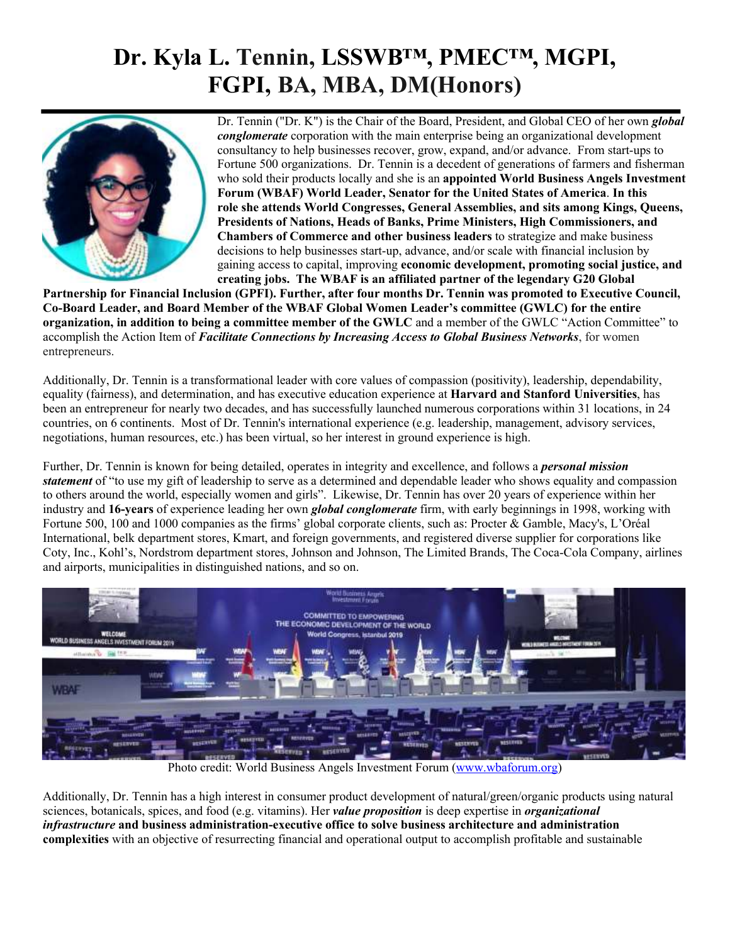## **Dr. Kyla L. Tennin, LSSWB™, PMEC™, MGPI, FGPI, BA, MBA, DM(Honors)**



Dr. Tennin ("Dr. K") is the Chair of the Board, President, and Global CEO of her own *global conglomerate* corporation with the main enterprise being an organizational development consultancy to help businesses recover, grow, expand, and/or advance. From start-ups to Fortune 500 organizations. Dr. Tennin is a decedent of generations of farmers and fisherman who sold their products locally and she is an **appointed World Business Angels Investment Forum (WBAF) World Leader, Senator for the United States of America**. **In this role she attends World Congresses, General Assemblies, and sits among Kings, Queens, Presidents of Nations, Heads of Banks, Prime Ministers, High Commissioners, and Chambers of Commerce and other business leaders** to strategize and make business decisions to help businesses start-up, advance, and/or scale with financial inclusion by gaining access to capital, improving **economic development, promoting social justice, and creating jobs. The WBAF is an affiliated partner of the legendary G20 Global**

Partnership for Financial Inclusion (GPFI). Further, after four months Dr. Tennin was promoted to Executive Council, **Co-Board Leader, and Board Member of the WBAF Global Women Leader's committee (GWLC) for the entire organization, in addition to being a committee member of the GWLC** and a member of the GWLC "Action Committee" to accomplish the Action Item of *Facilitate Connections by Increasing Access to Global Business Networks*, for women entrepreneurs.

Additionally, Dr. Tennin is a transformational leader with core values of compassion (positivity), leadership, dependability, equality (fairness), and determination, and has executive education experience at **Harvard and Stanford Universities**, has been an entrepreneur for nearly two decades, and has successfully launched numerous corporations within 31 locations, in 24 countries, on 6 continents. Most of Dr. Tennin's international experience (e.g. leadership, management, advisory services, negotiations, human resources, etc.) has been virtual, so her interest in ground experience is high.

Further, Dr. Tennin is known for being detailed, operates in integrity and excellence, and follows a *personal mission statement* of "to use my gift of leadership to serve as a determined and dependable leader who shows equality and compassion to others around the world, especially women and girls". Likewise, Dr. Tennin has over 20 years of experience within her industry and **16-years** of experience leading her own *global conglomerate* firm, with early beginnings in 1998, working with Fortune 500, 100 and 1000 companies as the firms' global corporate clients, such as: Procter & Gamble, Macy's, L'Oréal International, belk department stores, Kmart, and foreign governments, and registered diverse supplier for corporations like Coty, Inc., Kohl's, Nordstrom department stores, Johnson and Johnson, The Limited Brands, The Coca-Cola Company, airlines and airports, municipalities in distinguished nations, and so on.



Photo credit: World Business Angels Investment Forum (www.wbaforum.org)

Additionally, Dr. Tennin has a high interest in consumer product development of natural/green/organic products using natural sciences, botanicals, spices, and food (e.g. vitamins). Her *value proposition* is deep expertise in *organizational infrastructure* **and business administration-executive office to solve business architecture and administration complexities** with an objective of resurrecting financial and operational output to accomplish profitable and sustainable